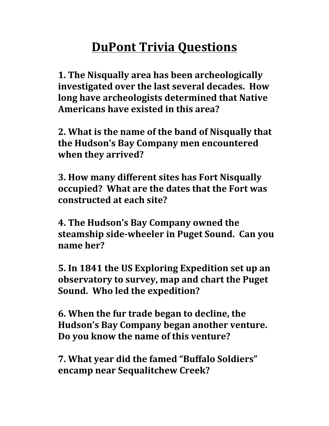## **DuPont Trivia Questions**

**1. The Nisqually area has been archeologically** investigated over the last several decades. How **long have archeologists determined that Native** Americans have existed in this area?

**2. What is the name of the band of Nisqually that** the Hudson's Bay Company men encountered when they arrived?

**3. How many different sites has Fort Nisqually** occupied? What are the dates that the Fort was **constructed at each site?**

**4. The Hudson's Bay Company owned the steamship side-wheeler in Puget Sound. Can you name her?**

**5.** In 1841 the US Exploring Expedition set up an observatory to survey, map and chart the Puget **Sound.** Who led the expedition?

**6. When the fur trade began to decline, the** Hudson's Bay Company began another venture. **Do you know the name of this venture?**

**7. What year did the famed "Buffalo Soldiers" encamp near Sequalitchew Creek?**